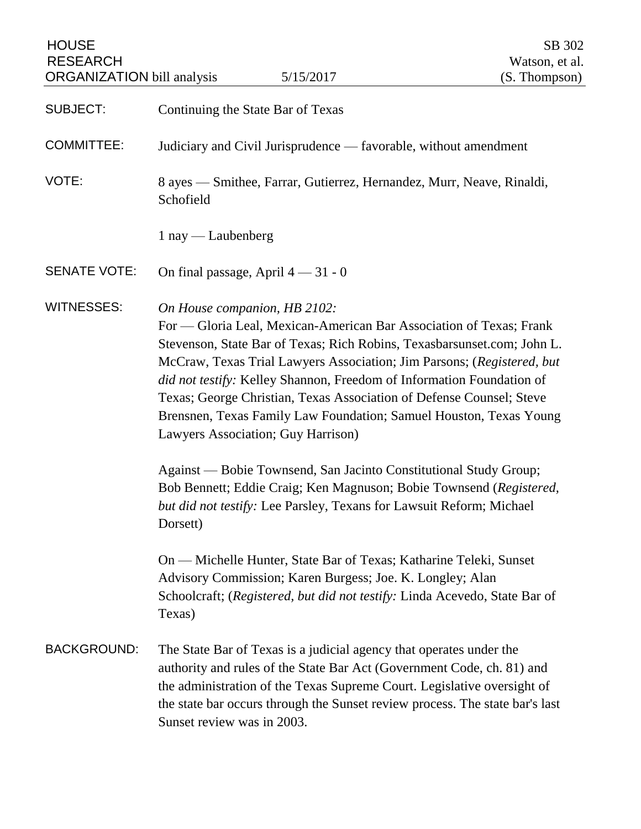HOUSE SB 302 RESEARCH Watson, et al.<br>
ORGANIZATION bill analysis 5/15/2017 (S. Thompson) ORGANIZATION bill analysis

| <b>SUBJECT:</b>     | Continuing the State Bar of Texas                                                                                                                                                                                                                                                                                                                                                                                                                                                                                                                                                                                                                                                                                                                                                                                                                                                                                                                                                |
|---------------------|----------------------------------------------------------------------------------------------------------------------------------------------------------------------------------------------------------------------------------------------------------------------------------------------------------------------------------------------------------------------------------------------------------------------------------------------------------------------------------------------------------------------------------------------------------------------------------------------------------------------------------------------------------------------------------------------------------------------------------------------------------------------------------------------------------------------------------------------------------------------------------------------------------------------------------------------------------------------------------|
| <b>COMMITTEE:</b>   | Judiciary and Civil Jurisprudence — favorable, without amendment                                                                                                                                                                                                                                                                                                                                                                                                                                                                                                                                                                                                                                                                                                                                                                                                                                                                                                                 |
| VOTE:               | 8 ayes — Smithee, Farrar, Gutierrez, Hernandez, Murr, Neave, Rinaldi,<br>Schofield                                                                                                                                                                                                                                                                                                                                                                                                                                                                                                                                                                                                                                                                                                                                                                                                                                                                                               |
|                     | $1$ nay — Laubenberg                                                                                                                                                                                                                                                                                                                                                                                                                                                                                                                                                                                                                                                                                                                                                                                                                                                                                                                                                             |
| <b>SENATE VOTE:</b> | On final passage, April $4 - 31 - 0$                                                                                                                                                                                                                                                                                                                                                                                                                                                                                                                                                                                                                                                                                                                                                                                                                                                                                                                                             |
| <b>WITNESSES:</b>   | On House companion, HB 2102:<br>For — Gloria Leal, Mexican-American Bar Association of Texas; Frank<br>Stevenson, State Bar of Texas; Rich Robins, Texasbarsunset.com; John L.<br>McCraw, Texas Trial Lawyers Association; Jim Parsons; (Registered, but<br>did not testify: Kelley Shannon, Freedom of Information Foundation of<br>Texas; George Christian, Texas Association of Defense Counsel; Steve<br>Brensnen, Texas Family Law Foundation; Samuel Houston, Texas Young<br>Lawyers Association; Guy Harrison)<br>Against — Bobie Townsend, San Jacinto Constitutional Study Group;<br>Bob Bennett; Eddie Craig; Ken Magnuson; Bobie Townsend (Registered,<br>but did not testify: Lee Parsley, Texans for Lawsuit Reform; Michael<br>Dorsett)<br>On — Michelle Hunter, State Bar of Texas; Katharine Teleki, Sunset<br>Advisory Commission; Karen Burgess; Joe. K. Longley; Alan<br>Schoolcraft; (Registered, but did not testify: Linda Acevedo, State Bar of<br>Texas) |
| <b>BACKGROUND:</b>  | The State Bar of Texas is a judicial agency that operates under the<br>authority and rules of the State Bar Act (Government Code, ch. 81) and<br>the administration of the Texas Supreme Court. Legislative oversight of<br>the state bar occurs through the Sunset review process. The state bar's last<br>Sunset review was in 2003.                                                                                                                                                                                                                                                                                                                                                                                                                                                                                                                                                                                                                                           |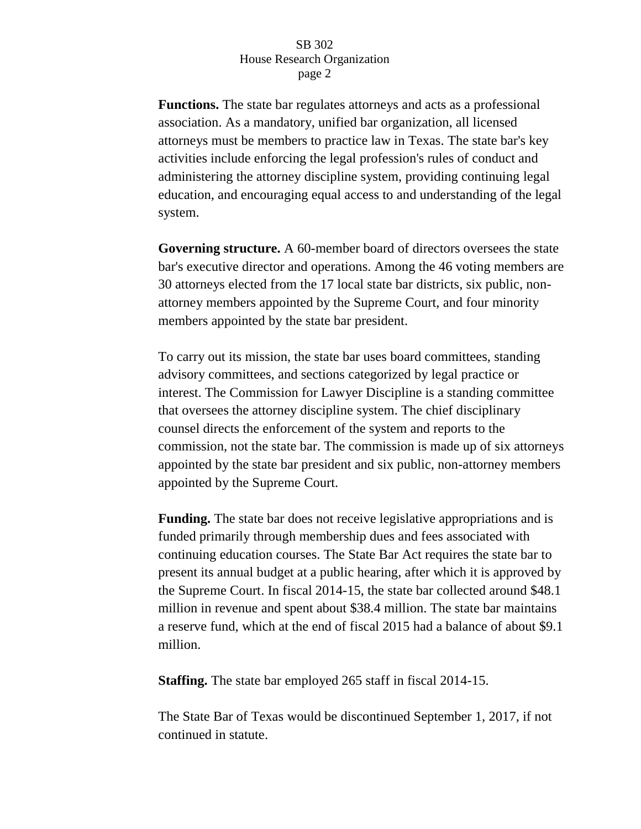**Functions.** The state bar regulates attorneys and acts as a professional association. As a mandatory, unified bar organization, all licensed attorneys must be members to practice law in Texas. The state bar's key activities include enforcing the legal profession's rules of conduct and administering the attorney discipline system, providing continuing legal education, and encouraging equal access to and understanding of the legal system.

**Governing structure.** A 60-member board of directors oversees the state bar's executive director and operations. Among the 46 voting members are 30 attorneys elected from the 17 local state bar districts, six public, nonattorney members appointed by the Supreme Court, and four minority members appointed by the state bar president.

To carry out its mission, the state bar uses board committees, standing advisory committees, and sections categorized by legal practice or interest. The Commission for Lawyer Discipline is a standing committee that oversees the attorney discipline system. The chief disciplinary counsel directs the enforcement of the system and reports to the commission, not the state bar. The commission is made up of six attorneys appointed by the state bar president and six public, non-attorney members appointed by the Supreme Court.

**Funding.** The state bar does not receive legislative appropriations and is funded primarily through membership dues and fees associated with continuing education courses. The State Bar Act requires the state bar to present its annual budget at a public hearing, after which it is approved by the Supreme Court. In fiscal 2014-15, the state bar collected around \$48.1 million in revenue and spent about \$38.4 million. The state bar maintains a reserve fund, which at the end of fiscal 2015 had a balance of about \$9.1 million.

**Staffing.** The state bar employed 265 staff in fiscal 2014-15.

The State Bar of Texas would be discontinued September 1, 2017, if not continued in statute.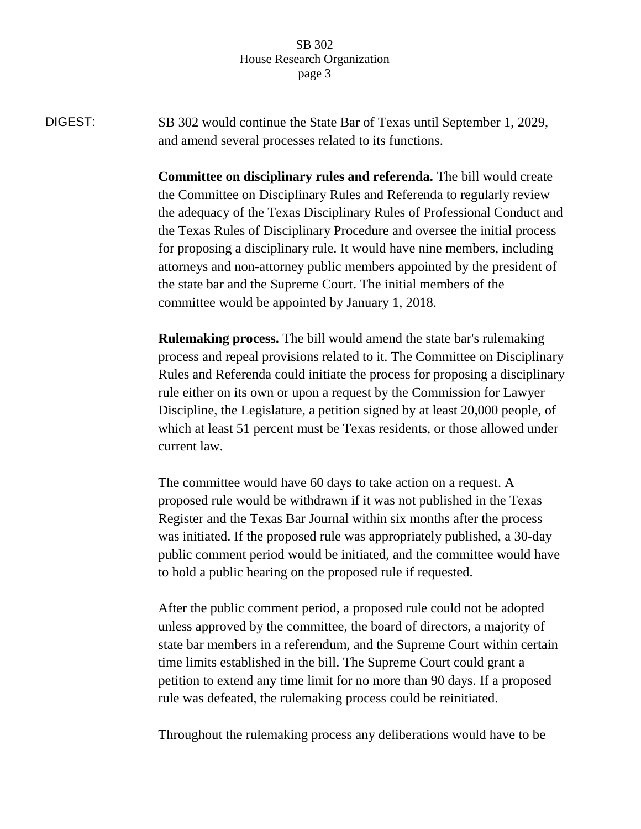DIGEST: SB 302 would continue the State Bar of Texas until September 1, 2029, and amend several processes related to its functions.

> **Committee on disciplinary rules and referenda.** The bill would create the Committee on Disciplinary Rules and Referenda to regularly review the adequacy of the Texas Disciplinary Rules of Professional Conduct and the Texas Rules of Disciplinary Procedure and oversee the initial process for proposing a disciplinary rule. It would have nine members, including attorneys and non-attorney public members appointed by the president of the state bar and the Supreme Court. The initial members of the committee would be appointed by January 1, 2018.

> **Rulemaking process.** The bill would amend the state bar's rulemaking process and repeal provisions related to it. The Committee on Disciplinary Rules and Referenda could initiate the process for proposing a disciplinary rule either on its own or upon a request by the Commission for Lawyer Discipline, the Legislature, a petition signed by at least 20,000 people, of which at least 51 percent must be Texas residents, or those allowed under current law.

The committee would have 60 days to take action on a request. A proposed rule would be withdrawn if it was not published in the Texas Register and the Texas Bar Journal within six months after the process was initiated. If the proposed rule was appropriately published, a 30-day public comment period would be initiated, and the committee would have to hold a public hearing on the proposed rule if requested.

After the public comment period, a proposed rule could not be adopted unless approved by the committee, the board of directors, a majority of state bar members in a referendum, and the Supreme Court within certain time limits established in the bill. The Supreme Court could grant a petition to extend any time limit for no more than 90 days. If a proposed rule was defeated, the rulemaking process could be reinitiated.

Throughout the rulemaking process any deliberations would have to be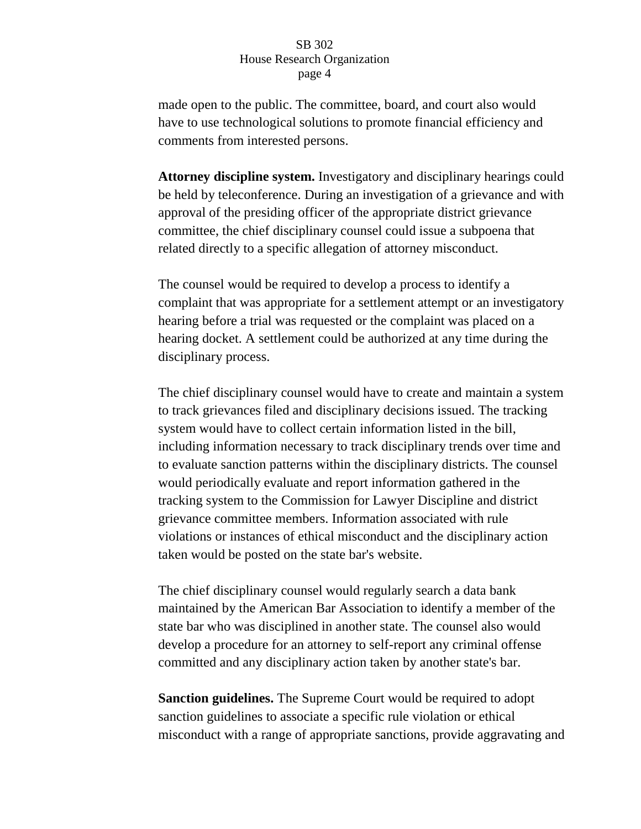made open to the public. The committee, board, and court also would have to use technological solutions to promote financial efficiency and comments from interested persons.

**Attorney discipline system.** Investigatory and disciplinary hearings could be held by teleconference. During an investigation of a grievance and with approval of the presiding officer of the appropriate district grievance committee, the chief disciplinary counsel could issue a subpoena that related directly to a specific allegation of attorney misconduct.

The counsel would be required to develop a process to identify a complaint that was appropriate for a settlement attempt or an investigatory hearing before a trial was requested or the complaint was placed on a hearing docket. A settlement could be authorized at any time during the disciplinary process.

The chief disciplinary counsel would have to create and maintain a system to track grievances filed and disciplinary decisions issued. The tracking system would have to collect certain information listed in the bill, including information necessary to track disciplinary trends over time and to evaluate sanction patterns within the disciplinary districts. The counsel would periodically evaluate and report information gathered in the tracking system to the Commission for Lawyer Discipline and district grievance committee members. Information associated with rule violations or instances of ethical misconduct and the disciplinary action taken would be posted on the state bar's website.

The chief disciplinary counsel would regularly search a data bank maintained by the American Bar Association to identify a member of the state bar who was disciplined in another state. The counsel also would develop a procedure for an attorney to self-report any criminal offense committed and any disciplinary action taken by another state's bar.

**Sanction guidelines.** The Supreme Court would be required to adopt sanction guidelines to associate a specific rule violation or ethical misconduct with a range of appropriate sanctions, provide aggravating and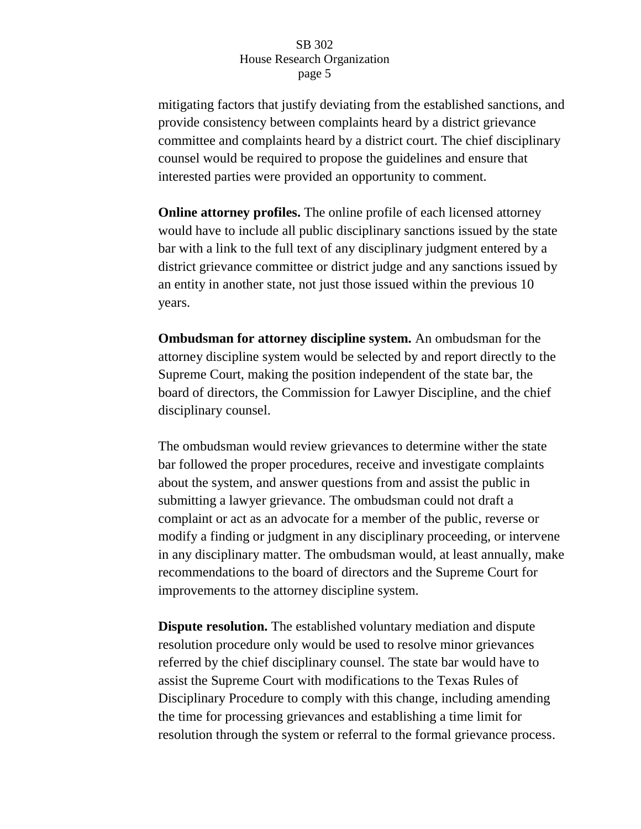mitigating factors that justify deviating from the established sanctions, and provide consistency between complaints heard by a district grievance committee and complaints heard by a district court. The chief disciplinary counsel would be required to propose the guidelines and ensure that interested parties were provided an opportunity to comment.

**Online attorney profiles.** The online profile of each licensed attorney would have to include all public disciplinary sanctions issued by the state bar with a link to the full text of any disciplinary judgment entered by a district grievance committee or district judge and any sanctions issued by an entity in another state, not just those issued within the previous 10 years.

**Ombudsman for attorney discipline system.** An ombudsman for the attorney discipline system would be selected by and report directly to the Supreme Court, making the position independent of the state bar, the board of directors, the Commission for Lawyer Discipline, and the chief disciplinary counsel.

The ombudsman would review grievances to determine wither the state bar followed the proper procedures, receive and investigate complaints about the system, and answer questions from and assist the public in submitting a lawyer grievance. The ombudsman could not draft a complaint or act as an advocate for a member of the public, reverse or modify a finding or judgment in any disciplinary proceeding, or intervene in any disciplinary matter. The ombudsman would, at least annually, make recommendations to the board of directors and the Supreme Court for improvements to the attorney discipline system.

**Dispute resolution.** The established voluntary mediation and dispute resolution procedure only would be used to resolve minor grievances referred by the chief disciplinary counsel. The state bar would have to assist the Supreme Court with modifications to the Texas Rules of Disciplinary Procedure to comply with this change, including amending the time for processing grievances and establishing a time limit for resolution through the system or referral to the formal grievance process.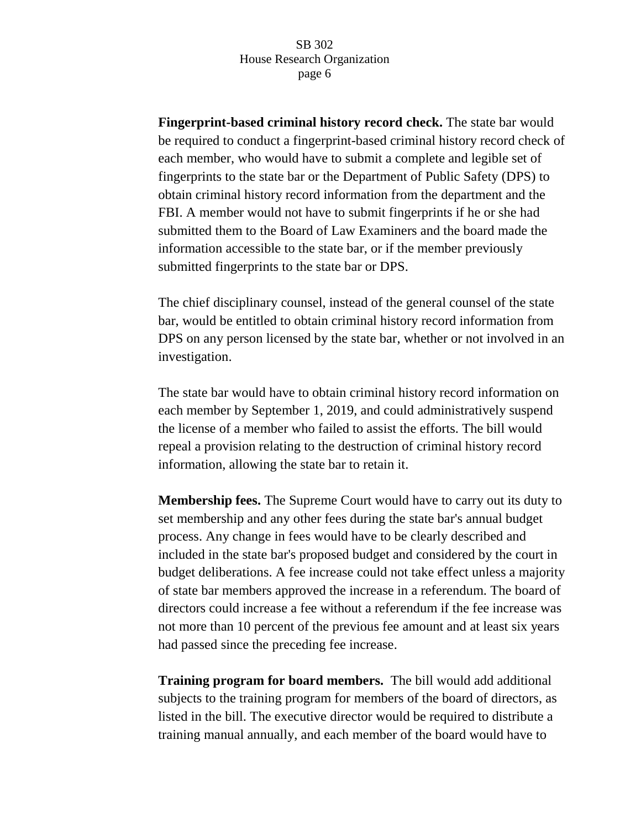**Fingerprint-based criminal history record check.** The state bar would be required to conduct a fingerprint-based criminal history record check of each member, who would have to submit a complete and legible set of fingerprints to the state bar or the Department of Public Safety (DPS) to obtain criminal history record information from the department and the FBI. A member would not have to submit fingerprints if he or she had submitted them to the Board of Law Examiners and the board made the information accessible to the state bar, or if the member previously submitted fingerprints to the state bar or DPS.

The chief disciplinary counsel, instead of the general counsel of the state bar, would be entitled to obtain criminal history record information from DPS on any person licensed by the state bar, whether or not involved in an investigation.

The state bar would have to obtain criminal history record information on each member by September 1, 2019, and could administratively suspend the license of a member who failed to assist the efforts. The bill would repeal a provision relating to the destruction of criminal history record information, allowing the state bar to retain it.

**Membership fees.** The Supreme Court would have to carry out its duty to set membership and any other fees during the state bar's annual budget process. Any change in fees would have to be clearly described and included in the state bar's proposed budget and considered by the court in budget deliberations. A fee increase could not take effect unless a majority of state bar members approved the increase in a referendum. The board of directors could increase a fee without a referendum if the fee increase was not more than 10 percent of the previous fee amount and at least six years had passed since the preceding fee increase.

**Training program for board members.** The bill would add additional subjects to the training program for members of the board of directors, as listed in the bill. The executive director would be required to distribute a training manual annually, and each member of the board would have to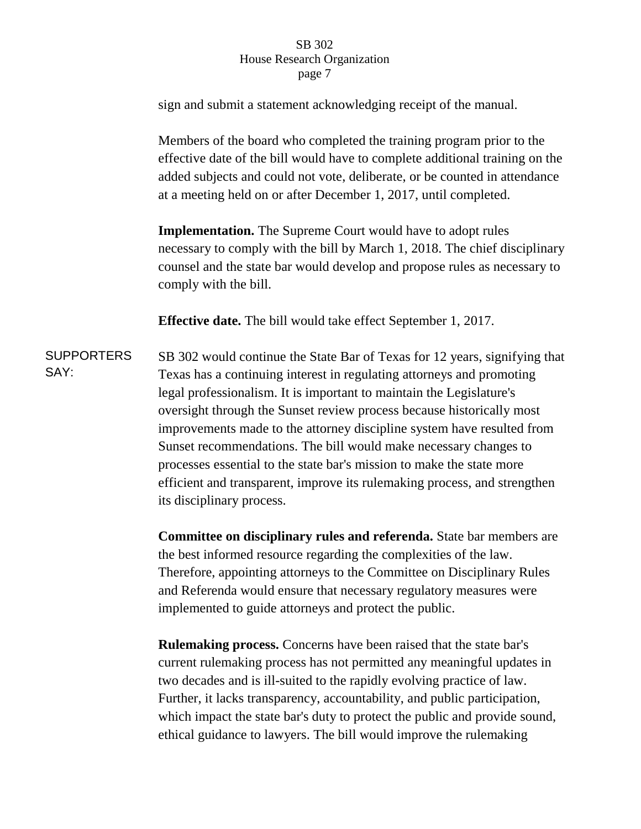sign and submit a statement acknowledging receipt of the manual.

Members of the board who completed the training program prior to the effective date of the bill would have to complete additional training on the added subjects and could not vote, deliberate, or be counted in attendance at a meeting held on or after December 1, 2017, until completed.

**Implementation.** The Supreme Court would have to adopt rules necessary to comply with the bill by March 1, 2018. The chief disciplinary counsel and the state bar would develop and propose rules as necessary to comply with the bill.

**Effective date.** The bill would take effect September 1, 2017.

**SUPPORTERS** SAY: SB 302 would continue the State Bar of Texas for 12 years, signifying that Texas has a continuing interest in regulating attorneys and promoting legal professionalism. It is important to maintain the Legislature's oversight through the Sunset review process because historically most improvements made to the attorney discipline system have resulted from Sunset recommendations. The bill would make necessary changes to processes essential to the state bar's mission to make the state more efficient and transparent, improve its rulemaking process, and strengthen its disciplinary process.

> **Committee on disciplinary rules and referenda.** State bar members are the best informed resource regarding the complexities of the law. Therefore, appointing attorneys to the Committee on Disciplinary Rules and Referenda would ensure that necessary regulatory measures were implemented to guide attorneys and protect the public.

> **Rulemaking process.** Concerns have been raised that the state bar's current rulemaking process has not permitted any meaningful updates in two decades and is ill-suited to the rapidly evolving practice of law. Further, it lacks transparency, accountability, and public participation, which impact the state bar's duty to protect the public and provide sound, ethical guidance to lawyers. The bill would improve the rulemaking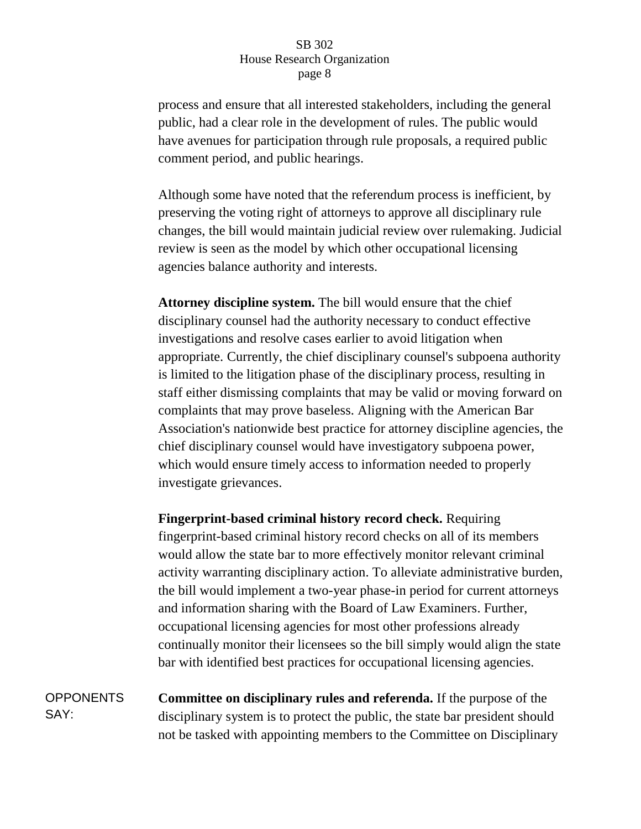process and ensure that all interested stakeholders, including the general public, had a clear role in the development of rules. The public would have avenues for participation through rule proposals, a required public comment period, and public hearings.

Although some have noted that the referendum process is inefficient, by preserving the voting right of attorneys to approve all disciplinary rule changes, the bill would maintain judicial review over rulemaking. Judicial review is seen as the model by which other occupational licensing agencies balance authority and interests.

**Attorney discipline system.** The bill would ensure that the chief disciplinary counsel had the authority necessary to conduct effective investigations and resolve cases earlier to avoid litigation when appropriate. Currently, the chief disciplinary counsel's subpoena authority is limited to the litigation phase of the disciplinary process, resulting in staff either dismissing complaints that may be valid or moving forward on complaints that may prove baseless. Aligning with the American Bar Association's nationwide best practice for attorney discipline agencies, the chief disciplinary counsel would have investigatory subpoena power, which would ensure timely access to information needed to properly investigate grievances.

**Fingerprint-based criminal history record check.** Requiring fingerprint-based criminal history record checks on all of its members would allow the state bar to more effectively monitor relevant criminal activity warranting disciplinary action. To alleviate administrative burden, the bill would implement a two-year phase-in period for current attorneys and information sharing with the Board of Law Examiners. Further, occupational licensing agencies for most other professions already continually monitor their licensees so the bill simply would align the state bar with identified best practices for occupational licensing agencies.

**OPPONENTS** SAY: **Committee on disciplinary rules and referenda.** If the purpose of the disciplinary system is to protect the public, the state bar president should not be tasked with appointing members to the Committee on Disciplinary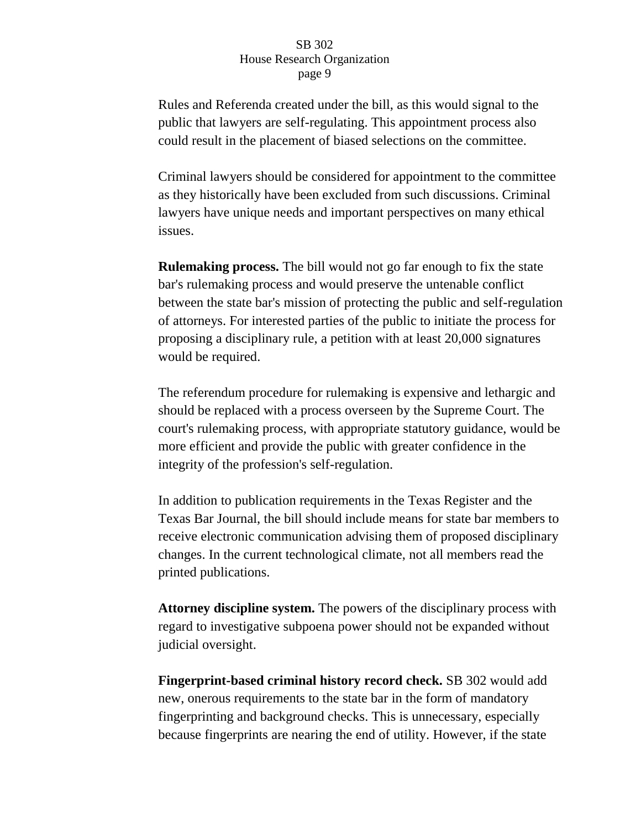Rules and Referenda created under the bill, as this would signal to the public that lawyers are self-regulating. This appointment process also could result in the placement of biased selections on the committee.

Criminal lawyers should be considered for appointment to the committee as they historically have been excluded from such discussions. Criminal lawyers have unique needs and important perspectives on many ethical issues.

**Rulemaking process.** The bill would not go far enough to fix the state bar's rulemaking process and would preserve the untenable conflict between the state bar's mission of protecting the public and self-regulation of attorneys. For interested parties of the public to initiate the process for proposing a disciplinary rule, a petition with at least 20,000 signatures would be required.

The referendum procedure for rulemaking is expensive and lethargic and should be replaced with a process overseen by the Supreme Court. The court's rulemaking process, with appropriate statutory guidance, would be more efficient and provide the public with greater confidence in the integrity of the profession's self-regulation.

In addition to publication requirements in the Texas Register and the Texas Bar Journal, the bill should include means for state bar members to receive electronic communication advising them of proposed disciplinary changes. In the current technological climate, not all members read the printed publications.

**Attorney discipline system.** The powers of the disciplinary process with regard to investigative subpoena power should not be expanded without judicial oversight.

**Fingerprint-based criminal history record check.** SB 302 would add new, onerous requirements to the state bar in the form of mandatory fingerprinting and background checks. This is unnecessary, especially because fingerprints are nearing the end of utility. However, if the state